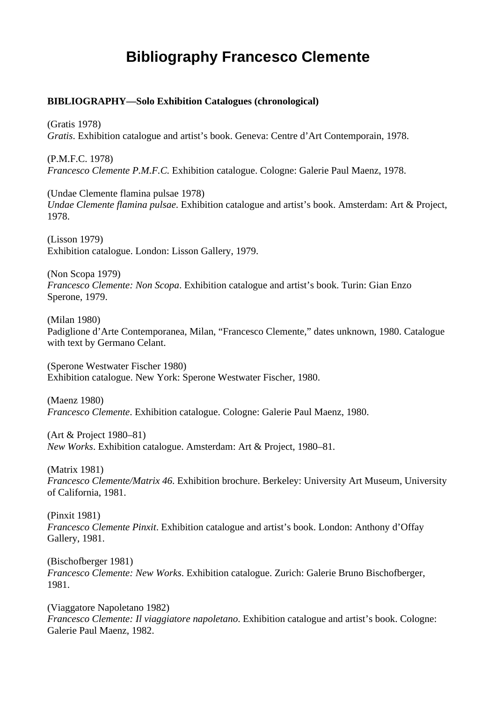# **Bibliography Francesco Clemente**

# **BIBLIOGRAPHY—Solo Exhibition Catalogues (chronological)**

(Gratis 1978) *Gratis*. Exhibition catalogue and artist's book. Geneva: Centre d'Art Contemporain, 1978.

(P.M.F.C. 1978) *Francesco Clemente P.M.F.C.* Exhibition catalogue. Cologne: Galerie Paul Maenz, 1978.

(Undae Clemente flamina pulsae 1978) *Undae Clemente flamina pulsae*. Exhibition catalogue and artist's book. Amsterdam: Art & Project, 1978.

(Lisson 1979) Exhibition catalogue. London: Lisson Gallery, 1979.

(Non Scopa 1979) *Francesco Clemente: Non Scopa*. Exhibition catalogue and artist's book. Turin: Gian Enzo Sperone, 1979.

(Milan 1980) Padiglione d'Arte Contemporanea, Milan, "Francesco Clemente," dates unknown, 1980. Catalogue with text by Germano Celant.

(Sperone Westwater Fischer 1980) Exhibition catalogue. New York: Sperone Westwater Fischer, 1980.

(Maenz 1980) *Francesco Clemente*. Exhibition catalogue. Cologne: Galerie Paul Maenz, 1980.

(Art & Project 1980–81) *New Works*. Exhibition catalogue. Amsterdam: Art & Project, 1980–81.

(Matrix 1981) *Francesco Clemente/Matrix 46*. Exhibition brochure. Berkeley: University Art Museum, University of California, 1981.

(Pinxit 1981) *Francesco Clemente Pinxit*. Exhibition catalogue and artist's book. London: Anthony d'Offay Gallery, 1981.

(Bischofberger 1981) *Francesco Clemente: New Works*. Exhibition catalogue. Zurich: Galerie Bruno Bischofberger, 1981.

(Viaggatore Napoletano 1982) *Francesco Clemente: Il viaggiatore napoletano*. Exhibition catalogue and artist's book. Cologne: Galerie Paul Maenz, 1982.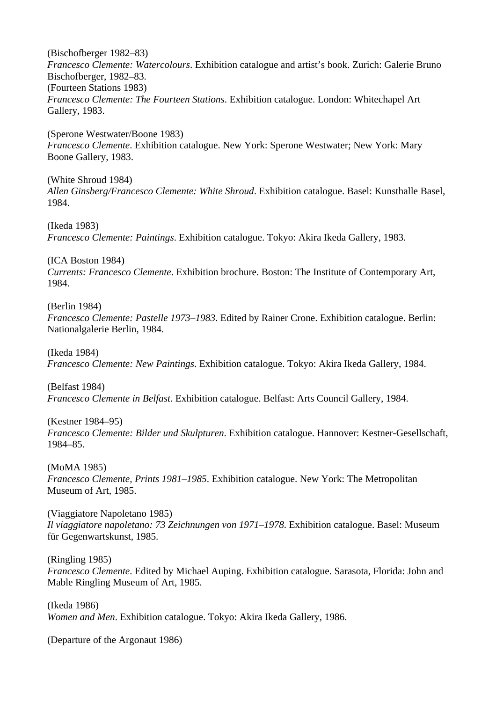(Bischofberger 1982–83) *Francesco Clemente: Watercolours*. Exhibition catalogue and artist's book. Zurich: Galerie Bruno Bischofberger, 1982–83. (Fourteen Stations 1983) *Francesco Clemente: The Fourteen Stations*. Exhibition catalogue. London: Whitechapel Art Gallery, 1983.

(Sperone Westwater/Boone 1983) *Francesco Clemente*. Exhibition catalogue. New York: Sperone Westwater; New York: Mary Boone Gallery, 1983.

(White Shroud 1984) *Allen Ginsberg/Francesco Clemente: White Shroud*. Exhibition catalogue. Basel: Kunsthalle Basel, 1984.

(Ikeda 1983) *Francesco Clemente: Paintings*. Exhibition catalogue. Tokyo: Akira Ikeda Gallery, 1983.

(ICA Boston 1984) *Currents: Francesco Clemente*. Exhibition brochure. Boston: The Institute of Contemporary Art, 1984.

(Berlin 1984)

*Francesco Clemente: Pastelle 1973–1983*. Edited by Rainer Crone. Exhibition catalogue. Berlin: Nationalgalerie Berlin, 1984.

(Ikeda 1984) *Francesco Clemente: New Paintings*. Exhibition catalogue. Tokyo: Akira Ikeda Gallery, 1984.

(Belfast 1984) *Francesco Clemente in Belfast*. Exhibition catalogue. Belfast: Arts Council Gallery, 1984.

(Kestner 1984–95) *Francesco Clemente: Bilder und Skulpturen*. Exhibition catalogue. Hannover: Kestner-Gesellschaft, 1984–85.

(MoMA 1985) *Francesco Clemente, Prints 1981–1985*. Exhibition catalogue. New York: The Metropolitan Museum of Art, 1985.

(Viaggiatore Napoletano 1985) *Il viaggiatore napoletano: 73 Zeichnungen von 1971–1978*. Exhibition catalogue. Basel: Museum für Gegenwartskunst, 1985.

(Ringling 1985)

*Francesco Clemente*. Edited by Michael Auping. Exhibition catalogue. Sarasota, Florida: John and Mable Ringling Museum of Art, 1985.

(Ikeda 1986) *Women and Men*. Exhibition catalogue. Tokyo: Akira Ikeda Gallery, 1986.

(Departure of the Argonaut 1986)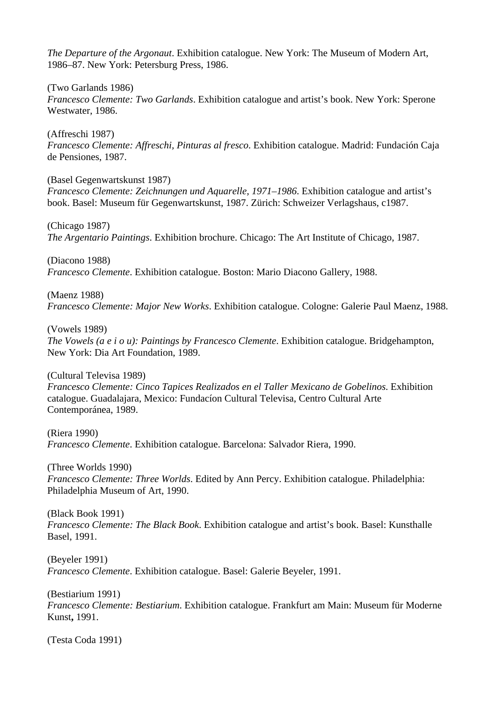*The Departure of the Argonaut*. Exhibition catalogue. New York: The Museum of Modern Art, 1986–87. New York: Petersburg Press, 1986.

(Two Garlands 1986) *Francesco Clemente: Two Garlands*. Exhibition catalogue and artist's book. New York: Sperone Westwater, 1986.

(Affreschi 1987) *Francesco Clemente: Affreschi, Pinturas al fresco*. Exhibition catalogue. Madrid: Fundación Caja de Pensiones, 1987.

(Basel Gegenwartskunst 1987)

*Francesco Clemente: Zeichnungen und Aquarelle, 1971–1986*. Exhibition catalogue and artist's book. Basel: Museum für Gegenwartskunst, 1987. Zürich: Schweizer Verlagshaus, c1987.

(Chicago 1987) *The Argentario Paintings*. Exhibition brochure. Chicago: The Art Institute of Chicago, 1987.

(Diacono 1988) *Francesco Clemente*. Exhibition catalogue. Boston: Mario Diacono Gallery, 1988.

(Maenz 1988) *Francesco Clemente: Major New Works*. Exhibition catalogue. Cologne: Galerie Paul Maenz, 1988.

(Vowels 1989)

*The Vowels (a e i o u): Paintings by Francesco Clemente*. Exhibition catalogue. Bridgehampton, New York: Dia Art Foundation, 1989.

(Cultural Televisa 1989)

*Francesco Clemente: Cinco Tapices Realizados en el Taller Mexicano de Gobelinos*. Exhibition catalogue. Guadalajara, Mexico: Fundacíon Cultural Televisa, Centro Cultural Arte Contemporánea, 1989.

(Riera 1990) *Francesco Clemente*. Exhibition catalogue. Barcelona: Salvador Riera, 1990.

(Three Worlds 1990) *Francesco Clemente: Three Worlds*. Edited by Ann Percy. Exhibition catalogue. Philadelphia: Philadelphia Museum of Art, 1990.

(Black Book 1991) *Francesco Clemente: The Black Book*. Exhibition catalogue and artist's book. Basel: Kunsthalle Basel, 1991.

(Beyeler 1991) *Francesco Clemente*. Exhibition catalogue. Basel: Galerie Beyeler, 1991.

(Bestiarium 1991) *Francesco Clemente: Bestiarium*. Exhibition catalogue. Frankfurt am Main: Museum für Moderne Kunst**,** 1991.

(Testa Coda 1991)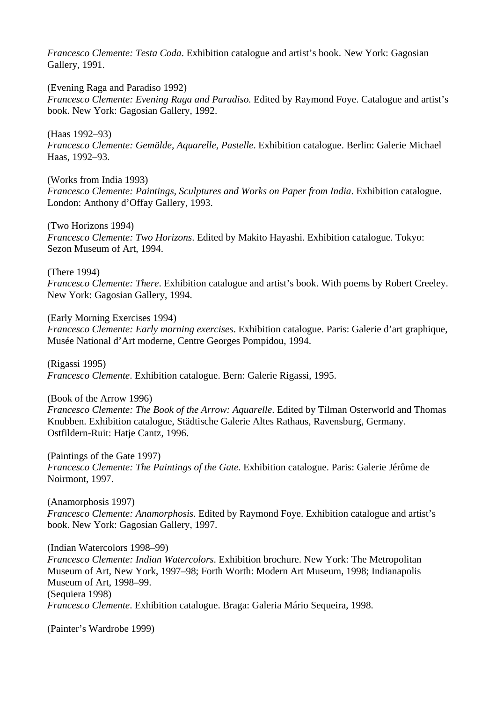*Francesco Clemente: Testa Coda*. Exhibition catalogue and artist's book. New York: Gagosian Gallery, 1991.

(Evening Raga and Paradiso 1992)

*Francesco Clemente: Evening Raga and Paradiso.* Edited by Raymond Foye. Catalogue and artist's book. New York: Gagosian Gallery, 1992.

(Haas 1992–93)

*Francesco Clemente: Gemälde, Aquarelle, Pastelle*. Exhibition catalogue. Berlin: Galerie Michael Haas, 1992–93.

(Works from India 1993)

*Francesco Clemente: Paintings, Sculptures and Works on Paper from India*. Exhibition catalogue. London: Anthony d'Offay Gallery, 1993.

(Two Horizons 1994)

*Francesco Clemente: Two Horizons*. Edited by Makito Hayashi. Exhibition catalogue. Tokyo: Sezon Museum of Art, 1994.

(There 1994)

*Francesco Clemente: There*. Exhibition catalogue and artist's book. With poems by Robert Creeley. New York: Gagosian Gallery, 1994.

(Early Morning Exercises 1994)

*Francesco Clemente: Early morning exercises*. Exhibition catalogue. Paris: Galerie d'art graphique, Musée National d'Art moderne, Centre Georges Pompidou, 1994.

(Rigassi 1995) *Francesco Clemente*. Exhibition catalogue. Bern: Galerie Rigassi, 1995.

(Book of the Arrow 1996) *Francesco Clemente: The Book of the Arrow: Aquarelle*. Edited by Tilman Osterworld and Thomas Knubben. Exhibition catalogue, Städtische Galerie Altes Rathaus, Ravensburg, Germany. Ostfildern-Ruit: Hatje Cantz, 1996.

(Paintings of the Gate 1997) *Francesco Clemente: The Paintings of the Gate.* Exhibition catalogue. Paris: Galerie Jérôme de Noirmont, 1997.

(Anamorphosis 1997) *Francesco Clemente: Anamorphosis*. Edited by Raymond Foye. Exhibition catalogue and artist's book. New York: Gagosian Gallery, 1997.

(Indian Watercolors 1998–99) *Francesco Clemente: Indian Watercolors*. Exhibition brochure. New York: The Metropolitan Museum of Art, New York, 1997–98; Forth Worth: Modern Art Museum, 1998; Indianapolis Museum of Art, 1998–99. (Sequiera 1998) *Francesco Clemente*. Exhibition catalogue. Braga: Galeria Mário Sequeira, 1998.

(Painter's Wardrobe 1999)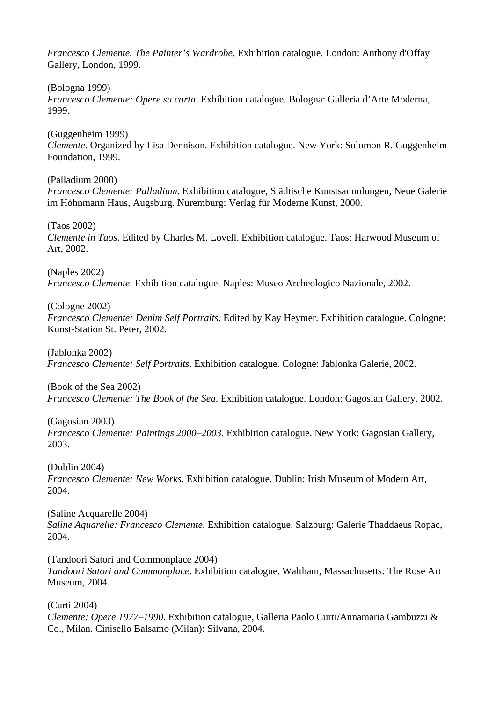*Francesco Clemente. The Painter's Wardrobe*. Exhibition catalogue. London: Anthony d'Offay Gallery, London, 1999.

(Bologna 1999) *Francesco Clemente: Opere su carta*. Exhibition catalogue. Bologna: Galleria d'Arte Moderna, 1999.

(Guggenheim 1999) *Clemente*. Organized by Lisa Dennison. Exhibition catalogue. New York: Solomon R. Guggenheim Foundation, 1999.

(Palladium 2000) *Francesco Clemente: Palladium*. Exhibition catalogue, Städtische Kunstsammlungen, Neue Galerie im Höhnmann Haus, Augsburg. Nuremburg: Verlag für Moderne Kunst, 2000.

(Taos 2002) *Clemente in Taos*. Edited by Charles M. Lovell. Exhibition catalogue. Taos: Harwood Museum of Art, 2002.

(Naples 2002) *Francesco Clemente*. Exhibition catalogue. Naples: Museo Archeologico Nazionale, 2002.

(Cologne 2002) *Francesco Clemente: Denim Self Portraits*. Edited by Kay Heymer. Exhibition catalogue. Cologne: Kunst-Station St. Peter, 2002.

(Jablonka 2002) *Francesco Clemente: Self Portraits*. Exhibition catalogue. Cologne: Jablonka Galerie, 2002.

(Book of the Sea 2002) *Francesco Clemente: The Book of the Sea*. Exhibition catalogue. London: Gagosian Gallery, 2002.

(Gagosian 2003) *Francesco Clemente: Paintings 2000–2003*. Exhibition catalogue. New York: Gagosian Gallery, 2003.

(Dublin 2004) *Francesco Clemente: New Works*. Exhibition catalogue. Dublin: Irish Museum of Modern Art, 2004.

(Saline Acquarelle 2004) *Saline Aquarelle: Francesco Clemente*. Exhibition catalogue. Salzburg: Galerie Thaddaeus Ropac, 2004.

(Tandoori Satori and Commonplace 2004)

*Tandoori Satori and Commonplace*. Exhibition catalogue. Waltham, Massachusetts: The Rose Art Museum, 2004.

(Curti 2004) *Clemente: Opere 1977–1990*. Exhibition catalogue, Galleria Paolo Curti/Annamaria Gambuzzi & Co., Milan. Cinisello Balsamo (Milan): Silvana, 2004.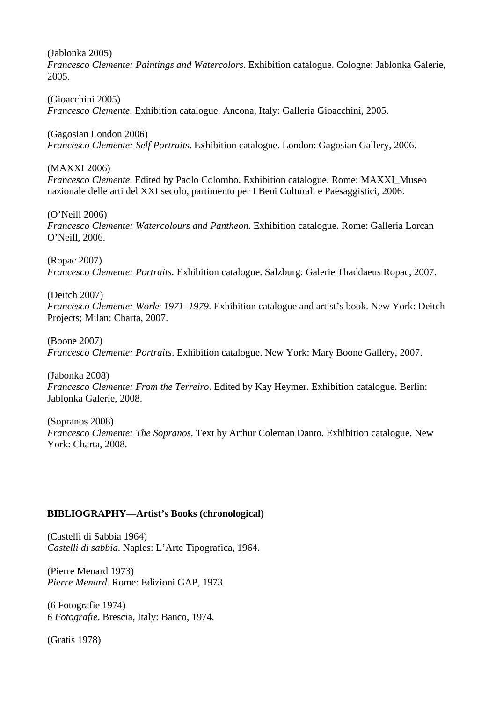(Jablonka 2005)

*Francesco Clemente: Paintings and Watercolors*. Exhibition catalogue. Cologne: Jablonka Galerie, 2005.

(Gioacchini 2005) *Francesco Clemente*. Exhibition catalogue. Ancona, Italy: Galleria Gioacchini, 2005.

(Gagosian London 2006) *Francesco Clemente: Self Portraits*. Exhibition catalogue. London: Gagosian Gallery, 2006.

(MAXXI 2006) *Francesco Clemente*. Edited by Paolo Colombo. Exhibition catalogue. Rome: MAXXI\_Museo nazionale delle arti del XXI secolo, partimento per I Beni Culturali e Paesaggistici, 2006.

(O'Neill 2006) *Francesco Clemente: Watercolours and Pantheon*. Exhibition catalogue. Rome: Galleria Lorcan O'Neill, 2006.

(Ropac 2007) *Francesco Clemente: Portraits.* Exhibition catalogue. Salzburg: Galerie Thaddaeus Ropac, 2007.

(Deitch 2007) *Francesco Clemente: Works 1971–1979*. Exhibition catalogue and artist's book. New York: Deitch Projects; Milan: Charta, 2007.

(Boone 2007) *Francesco Clemente: Portraits*. Exhibition catalogue. New York: Mary Boone Gallery, 2007.

(Jabonka 2008) *Francesco Clemente: From the Terreiro*. Edited by Kay Heymer. Exhibition catalogue. Berlin: Jablonka Galerie, 2008.

(Sopranos 2008) *Francesco Clemente: The Sopranos.* Text by Arthur Coleman Danto. Exhibition catalogue. New York: Charta, 2008.

# **BIBLIOGRAPHY—Artist's Books (chronological)**

(Castelli di Sabbia 1964) *Castelli di sabbia*. Naples: L'Arte Tipografica, 1964.

(Pierre Menard 1973) *Pierre Menard*. Rome: Edizioni GAP, 1973.

(6 Fotografie 1974) *6 Fotografie*. Brescia, Italy: Banco, 1974.

(Gratis 1978)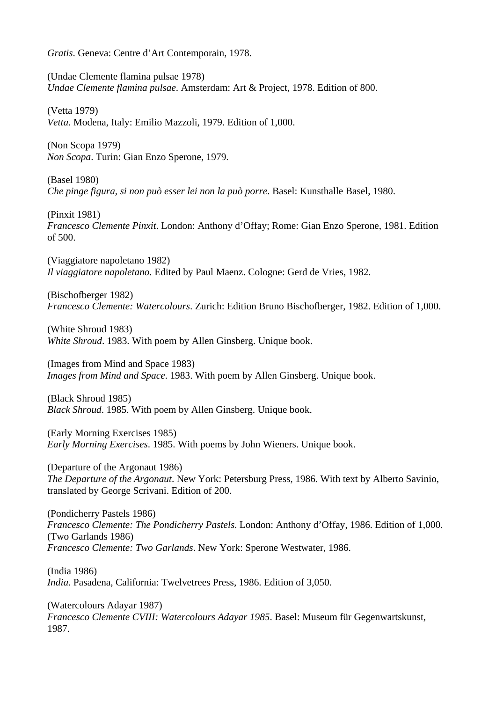*Gratis*. Geneva: Centre d'Art Contemporain, 1978.

(Undae Clemente flamina pulsae 1978) *Undae Clemente flamina pulsae*. Amsterdam: Art & Project, 1978. Edition of 800.

(Vetta 1979) *Vetta*. Modena, Italy: Emilio Mazzoli, 1979. Edition of 1,000.

(Non Scopa 1979) *Non Scopa*. Turin: Gian Enzo Sperone, 1979.

(Basel 1980) *Che pinge figura, si non può esser lei non la può porre*. Basel: Kunsthalle Basel, 1980.

(Pinxit 1981) *Francesco Clemente Pinxit*. London: Anthony d'Offay; Rome: Gian Enzo Sperone, 1981. Edition of 500.

(Viaggiatore napoletano 1982) *Il viaggiatore napoletano.* Edited by Paul Maenz. Cologne: Gerd de Vries, 1982.

(Bischofberger 1982) *Francesco Clemente: Watercolours*. Zurich: Edition Bruno Bischofberger, 1982. Edition of 1,000.

(White Shroud 1983) *White Shroud*. 1983. With poem by Allen Ginsberg. Unique book.

(Images from Mind and Space 1983) *Images from Mind and Space*. 1983. With poem by Allen Ginsberg. Unique book.

(Black Shroud 1985) *Black Shroud*. 1985. With poem by Allen Ginsberg. Unique book.

(Early Morning Exercises 1985) *Early Morning Exercises*. 1985. With poems by John Wieners. Unique book.

(Departure of the Argonaut 1986) *The Departure of the Argonaut*. New York: Petersburg Press, 1986. With text by Alberto Savinio, translated by George Scrivani. Edition of 200.

(Pondicherry Pastels 1986) *Francesco Clemente: The Pondicherry Pastels*. London: Anthony d'Offay, 1986. Edition of 1,000. (Two Garlands 1986) *Francesco Clemente: Two Garlands*. New York: Sperone Westwater, 1986.

(India 1986) *India*. Pasadena, California: Twelvetrees Press, 1986. Edition of 3,050.

(Watercolours Adayar 1987) *Francesco Clemente CVIII: Watercolours Adayar 1985*. Basel: Museum für Gegenwartskunst, 1987.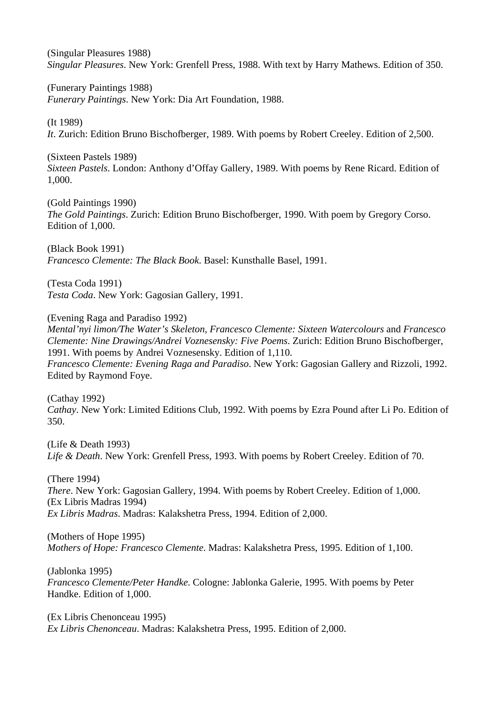(Singular Pleasures 1988) *Singular Pleasures*. New York: Grenfell Press, 1988. With text by Harry Mathews. Edition of 350.

(Funerary Paintings 1988) *Funerary Paintings*. New York: Dia Art Foundation, 1988.

(It 1989)

*It*. Zurich: Edition Bruno Bischofberger, 1989. With poems by Robert Creeley. Edition of 2,500.

(Sixteen Pastels 1989) *Sixteen Pastels*. London: Anthony d'Offay Gallery, 1989. With poems by Rene Ricard. Edition of 1,000.

(Gold Paintings 1990) *The Gold Paintings*. Zurich: Edition Bruno Bischofberger, 1990. With poem by Gregory Corso. Edition of 1,000.

(Black Book 1991) *Francesco Clemente: The Black Book*. Basel: Kunsthalle Basel, 1991.

(Testa Coda 1991) *Testa Coda*. New York: Gagosian Gallery, 1991.

(Evening Raga and Paradiso 1992)

*Mental'nyi limon/The Water's Skeleton, Francesco Clemente: Sixteen Watercolours* and *Francesco Clemente: Nine Drawings/Andrei Voznesensky: Five Poems*. Zurich: Edition Bruno Bischofberger, 1991. With poems by Andrei Voznesensky. Edition of 1,110. *Francesco Clemente: Evening Raga and Paradiso*. New York: Gagosian Gallery and Rizzoli, 1992. Edited by Raymond Foye.

(Cathay 1992) *Cathay*. New York: Limited Editions Club, 1992. With poems by Ezra Pound after Li Po. Edition of 350.

(Life & Death 1993) *Life & Death*. New York: Grenfell Press, 1993. With poems by Robert Creeley. Edition of 70.

(There 1994) *There*. New York: Gagosian Gallery, 1994. With poems by Robert Creeley. Edition of 1,000. (Ex Libris Madras 1994) *Ex Libris Madras*. Madras: Kalakshetra Press, 1994. Edition of 2,000.

(Mothers of Hope 1995) *Mothers of Hope: Francesco Clemente*. Madras: Kalakshetra Press, 1995. Edition of 1,100.

(Jablonka 1995) *Francesco Clemente/Peter Handke*. Cologne: Jablonka Galerie, 1995. With poems by Peter Handke. Edition of 1,000.

(Ex Libris Chenonceau 1995) *Ex Libris Chenonceau*. Madras: Kalakshetra Press, 1995. Edition of 2,000.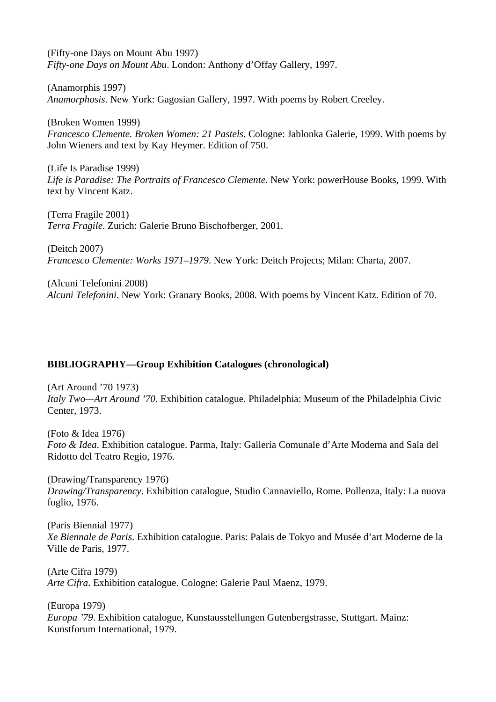(Fifty-one Days on Mount Abu 1997) *Fifty-one Days on Mount Abu*. London: Anthony d'Offay Gallery, 1997.

(Anamorphis 1997) *Anamorphosis*. New York: Gagosian Gallery, 1997. With poems by Robert Creeley.

(Broken Women 1999) *Francesco Clemente. Broken Women: 21 Pastels*. Cologne: Jablonka Galerie, 1999. With poems by John Wieners and text by Kay Heymer. Edition of 750.

(Life Is Paradise 1999) *Life is Paradise: The Portraits of Francesco Clemente.* New York: powerHouse Books, 1999. With text by Vincent Katz.

(Terra Fragile 2001) *Terra Fragile*. Zurich: Galerie Bruno Bischofberger, 2001.

(Deitch 2007) *Francesco Clemente: Works 1971–1979*. New York: Deitch Projects; Milan: Charta, 2007.

(Alcuni Telefonini 2008) *Alcuni Telefonini*. New York: Granary Books, 2008. With poems by Vincent Katz. Edition of 70.

# **BIBLIOGRAPHY—Group Exhibition Catalogues (chronological)**

(Art Around '70 1973) *Italy Two—Art Around '70*. Exhibition catalogue. Philadelphia: Museum of the Philadelphia Civic Center, 1973.

(Foto & Idea 1976) *Foto & Idea*. Exhibition catalogue. Parma, Italy: Galleria Comunale d'Arte Moderna and Sala del Ridotto del Teatro Regio, 1976.

(Drawing/Transparency 1976) *Drawing/Transparency*. Exhibition catalogue, Studio Cannaviello, Rome. Pollenza, Italy: La nuova foglio, 1976.

(Paris Biennial 1977) *Xe Biennale de Paris*. Exhibition catalogue. Paris: Palais de Tokyo and Musée d'art Moderne de la Ville de Paris, 1977.

(Arte Cifra 1979) *Arte Cifra*. Exhibition catalogue. Cologne: Galerie Paul Maenz, 1979.

(Europa 1979) *Europa '79*. Exhibition catalogue, Kunstausstellungen Gutenbergstrasse, Stuttgart. Mainz: Kunstforum International, 1979.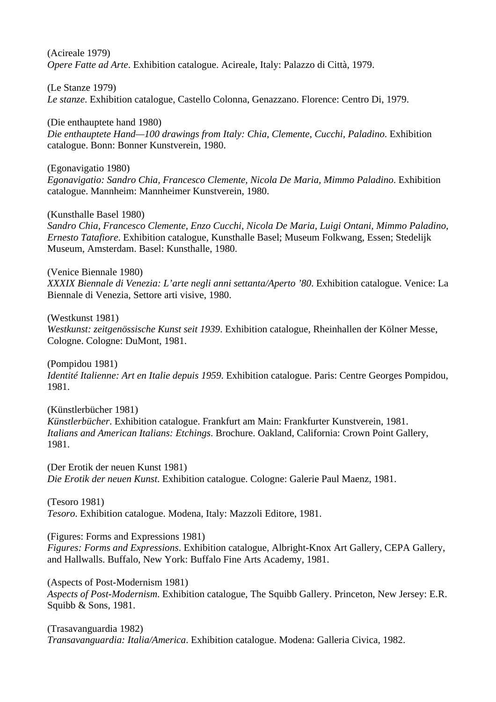(Acireale 1979) *Opere Fatte ad Arte*. Exhibition catalogue. Acireale, Italy: Palazzo di Città, 1979.

(Le Stanze 1979) *Le stanze*. Exhibition catalogue, Castello Colonna, Genazzano. Florence: Centro Di, 1979.

(Die enthauptete hand 1980) *Die enthauptete Hand—100 drawings from Italy: Chia, Clemente, Cucchi, Paladino*. Exhibition catalogue. Bonn: Bonner Kunstverein, 1980.

(Egonavigatio 1980) *Egonavigatio: Sandro Chia, Francesco Clemente, Nicola De Maria, Mimmo Paladino*. Exhibition catalogue. Mannheim: Mannheimer Kunstverein, 1980.

(Kunsthalle Basel 1980) *Sandro Chia, Francesco Clemente, Enzo Cucchi, Nicola De Maria, Luigi Ontani, Mimmo Paladino, Ernesto Tatafiore*. Exhibition catalogue, Kunsthalle Basel; Museum Folkwang, Essen; Stedelijk Museum, Amsterdam. Basel: Kunsthalle, 1980.

(Venice Biennale 1980) *XXXIX Biennale di Venezia: L'arte negli anni settanta/Aperto '80*. Exhibition catalogue. Venice: La Biennale di Venezia, Settore arti visive, 1980.

(Westkunst 1981) *Westkunst: zeitgenössische Kunst seit 1939*. Exhibition catalogue, Rheinhallen der Kölner Messe, Cologne. Cologne: DuMont, 1981.

(Pompidou 1981) *Identité Italienne: Art en Italie depuis 1959*. Exhibition catalogue. Paris: Centre Georges Pompidou, 1981.

(Künstlerbücher 1981) *Künstlerbücher*. Exhibition catalogue. Frankfurt am Main: Frankfurter Kunstverein, 1981. *Italians and American Italians: Etchings*. Brochure. Oakland, California: Crown Point Gallery, 1981.

(Der Erotik der neuen Kunst 1981) *Die Erotik der neuen Kunst*. Exhibition catalogue. Cologne: Galerie Paul Maenz, 1981.

(Tesoro 1981) *Tesoro*. Exhibition catalogue. Modena, Italy: Mazzoli Editore, 1981.

(Figures: Forms and Expressions 1981)

*Figures: Forms and Expressions*. Exhibition catalogue, Albright-Knox Art Gallery, CEPA Gallery, and Hallwalls. Buffalo, New York: Buffalo Fine Arts Academy, 1981.

(Aspects of Post-Modernism 1981) *Aspects of Post-Modernism*. Exhibition catalogue, The Squibb Gallery. Princeton, New Jersey: E.R.

Squibb & Sons, 1981.

(Trasavanguardia 1982) *Transavanguardia: Italia/America*. Exhibition catalogue. Modena: Galleria Civica, 1982.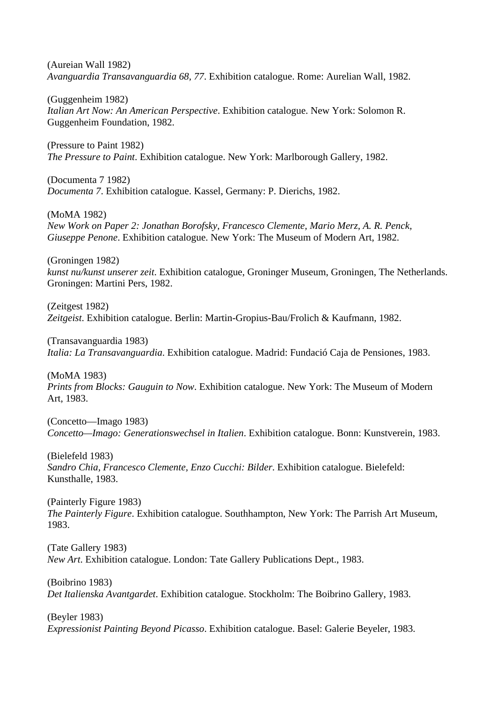(Aureian Wall 1982) *Avanguardia Transavanguardia 68, 77*. Exhibition catalogue. Rome: Aurelian Wall, 1982.

(Guggenheim 1982) *Italian Art Now: An American Perspective*. Exhibition catalogue. New York: Solomon R. Guggenheim Foundation, 1982.

(Pressure to Paint 1982) *The Pressure to Paint*. Exhibition catalogue. New York: Marlborough Gallery, 1982.

(Documenta 7 1982) *Documenta 7*. Exhibition catalogue. Kassel, Germany: P. Dierichs, 1982.

(MoMA 1982) *New Work on Paper 2: Jonathan Borofsky, Francesco Clemente, Mario Merz, A. R. Penck, Giuseppe Penone*. Exhibition catalogue. New York: The Museum of Modern Art, 1982.

(Groningen 1982) *kunst nu/kunst unserer zeit*. Exhibition catalogue, Groninger Museum, Groningen, The Netherlands. Groningen: Martini Pers, 1982.

(Zeitgest 1982) *Zeitgeist*. Exhibition catalogue. Berlin: Martin-Gropius-Bau/Frolich & Kaufmann, 1982.

(Transavanguardia 1983) *Italia: La Transavanguardia*. Exhibition catalogue. Madrid: Fundació Caja de Pensiones, 1983.

(MoMA 1983) *Prints from Blocks: Gauguin to Now*. Exhibition catalogue. New York: The Museum of Modern Art, 1983.

(Concetto—Imago 1983) *Concetto—Imago: Generationswechsel in Italien*. Exhibition catalogue. Bonn: Kunstverein, 1983.

(Bielefeld 1983) *Sandro Chia, Francesco Clemente, Enzo Cucchi: Bilder*. Exhibition catalogue. Bielefeld: Kunsthalle, 1983.

(Painterly Figure 1983) *The Painterly Figure*. Exhibition catalogue. Southhampton, New York: The Parrish Art Museum, 1983.

(Tate Gallery 1983) *New Art*. Exhibition catalogue. London: Tate Gallery Publications Dept., 1983.

(Boibrino 1983) *Det Italienska Avantgardet*. Exhibition catalogue. Stockholm: The Boibrino Gallery, 1983.

(Beyler 1983) *Expressionist Painting Beyond Picasso*. Exhibition catalogue. Basel: Galerie Beyeler, 1983.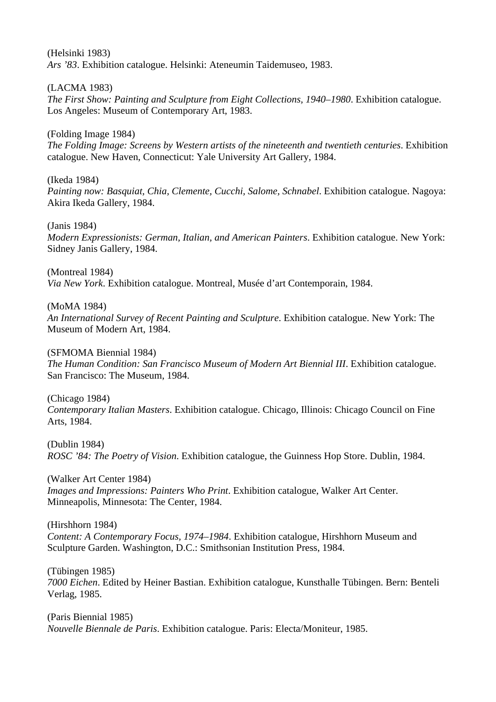(Helsinki 1983) *Ars '83*. Exhibition catalogue. Helsinki: Ateneumin Taidemuseo, 1983.

(LACMA 1983) *The First Show: Painting and Sculpture from Eight Collections, 1940–1980*. Exhibition catalogue. Los Angeles: Museum of Contemporary Art, 1983.

(Folding Image 1984) *The Folding Image: Screens by Western artists of the nineteenth and twentieth centuries*. Exhibition catalogue. New Haven, Connecticut: Yale University Art Gallery, 1984.

(Ikeda 1984) *Painting now: Basquiat, Chia, Clemente, Cucchi, Salome, Schnabel*. Exhibition catalogue. Nagoya: Akira Ikeda Gallery, 1984.

(Janis 1984) *Modern Expressionists: German, Italian, and American Painters*. Exhibition catalogue. New York: Sidney Janis Gallery, 1984.

(Montreal 1984) *Via New York*. Exhibition catalogue. Montreal, Musée d'art Contemporain, 1984.

(MoMA 1984) *An International Survey of Recent Painting and Sculpture*. Exhibition catalogue. New York: The Museum of Modern Art, 1984.

(SFMOMA Biennial 1984) *The Human Condition: San Francisco Museum of Modern Art Biennial III*. Exhibition catalogue. San Francisco: The Museum, 1984.

(Chicago 1984) *Contemporary Italian Masters*. Exhibition catalogue. Chicago, Illinois: Chicago Council on Fine Arts, 1984.

(Dublin 1984) *ROSC '84: The Poetry of Vision*. Exhibition catalogue, the Guinness Hop Store. Dublin, 1984.

(Walker Art Center 1984) *Images and Impressions: Painters Who Print*. Exhibition catalogue, Walker Art Center. Minneapolis, Minnesota: The Center, 1984.

(Hirshhorn 1984) *Content: A Contemporary Focus, 1974–1984*. Exhibition catalogue, Hirshhorn Museum and Sculpture Garden. Washington, D.C.: Smithsonian Institution Press, 1984.

(Tübingen 1985) *7000 Eichen*. Edited by Heiner Bastian. Exhibition catalogue, Kunsthalle Tübingen. Bern: Benteli Verlag, 1985.

(Paris Biennial 1985) *Nouvelle Biennale de Paris*. Exhibition catalogue. Paris: Electa/Moniteur, 1985.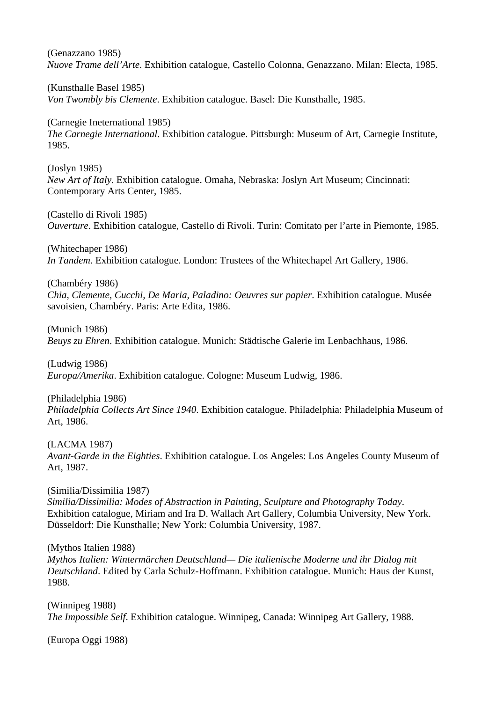(Genazzano 1985) *Nuove Trame dell'Arte*. Exhibition catalogue, Castello Colonna, Genazzano. Milan: Electa, 1985.

(Kunsthalle Basel 1985) *Von Twombly bis Clemente*. Exhibition catalogue. Basel: Die Kunsthalle, 1985.

(Carnegie Ineternational 1985) *The Carnegie International*. Exhibition catalogue. Pittsburgh: Museum of Art, Carnegie Institute, 1985.

(Joslyn 1985) *New Art of Italy*. Exhibition catalogue. Omaha, Nebraska: Joslyn Art Museum; Cincinnati: Contemporary Arts Center, 1985.

(Castello di Rivoli 1985) *Ouverture*. Exhibition catalogue, Castello di Rivoli. Turin: Comitato per l'arte in Piemonte, 1985.

(Whitechaper 1986) *In Tandem*. Exhibition catalogue. London: Trustees of the Whitechapel Art Gallery, 1986.

(Chambéry 1986) *Chia, Clemente, Cucchi, De Maria, Paladino: Oeuvres sur papier*. Exhibition catalogue. Musée savoisien, Chambéry. Paris: Arte Edita, 1986.

(Munich 1986) *Beuys zu Ehren*. Exhibition catalogue. Munich: Städtische Galerie im Lenbachhaus, 1986.

(Ludwig 1986) *Europa/Amerika*. Exhibition catalogue. Cologne: Museum Ludwig, 1986.

(Philadelphia 1986) *Philadelphia Collects Art Since 1940*. Exhibition catalogue. Philadelphia: Philadelphia Museum of Art, 1986.

(LACMA 1987) *Avant-Garde in the Eighties*. Exhibition catalogue. Los Angeles: Los Angeles County Museum of Art, 1987.

(Similia/Dissimilia 1987) *Similia/Dissimilia: Modes of Abstraction in Painting, Sculpture and Photography Today*. Exhibition catalogue, Miriam and Ira D. Wallach Art Gallery, Columbia University, New York. Düsseldorf: Die Kunsthalle; New York: Columbia University, 1987.

(Mythos Italien 1988) *Mythos Italien: Wintermärchen Deutschland— Die italienische Moderne und ihr Dialog mit Deutschland*. Edited by Carla Schulz-Hoffmann. Exhibition catalogue. Munich: Haus der Kunst, 1988.

(Winnipeg 1988) *The Impossible Self*. Exhibition catalogue. Winnipeg, Canada: Winnipeg Art Gallery, 1988.

(Europa Oggi 1988)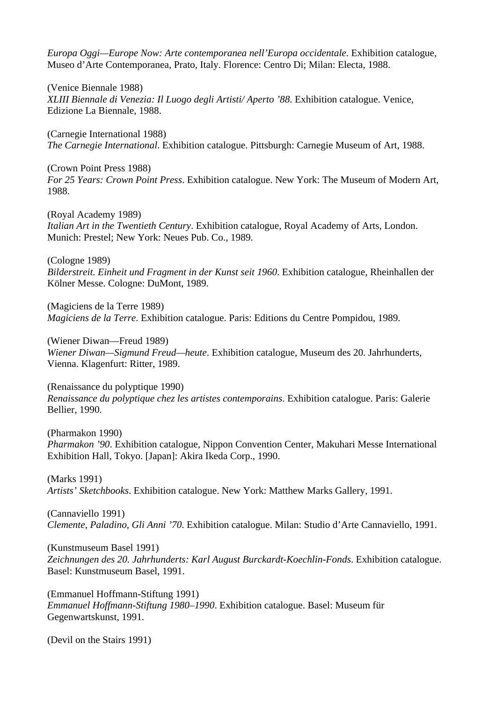*Europa Oggi—Europe Now: Arte contemporanea nell'Europa occidentale*. Exhibition catalogue, Museo d'Arte Contemporanea, Prato, Italy. Florence: Centro Di; Milan: Electa, 1988.

(Venice Biennale 1988) *XLIII Biennale di Venezia: Il Luogo degli Artisti/ Aperto '88*. Exhibition catalogue. Venice, Edizione La Biennale, 1988.

(Carnegie International 1988) *The Carnegie International*. Exhibition catalogue. Pittsburgh: Carnegie Museum of Art, 1988.

(Crown Point Press 1988) *For 25 Years: Crown Point Press*. Exhibition catalogue. New York: The Museum of Modern Art, 1988.

(Royal Academy 1989) *Italian Art in the Twentieth Century*. Exhibition catalogue, Royal Academy of Arts, London. Munich: Prestel; New York: Neues Pub. Co., 1989.

(Cologne 1989) *Bilderstreit. Einheit und Fragment in der Kunst seit 1960*. Exhibition catalogue, Rheinhallen der Kölner Messe. Cologne: DuMont, 1989.

(Magiciens de la Terre 1989) *Magiciens de la Terre*. Exhibition catalogue. Paris: Editions du Centre Pompidou, 1989.

(Wiener Diwan—Freud 1989) *Wiener Diwan—Sigmund Freud—heute*. Exhibition catalogue, Museum des 20. Jahrhunderts, Vienna. Klagenfurt: Ritter, 1989.

(Renaissance du polyptique 1990) *Renaissance du polyptique chez les artistes contemporains*. Exhibition catalogue. Paris: Galerie Bellier, 1990.

(Pharmakon 1990) *Pharmakon '90*. Exhibition catalogue, Nippon Convention Center, Makuhari Messe International Exhibition Hall, Tokyo. [Japan]: Akira Ikeda Corp., 1990.

(Marks 1991) *Artists' Sketchbooks*. Exhibition catalogue. New York: Matthew Marks Gallery, 1991.

(Cannaviello 1991) *Clemente, Paladino, Gli Anni '70*. Exhibition catalogue. Milan: Studio d'Arte Cannaviello, 1991.

(Kunstmuseum Basel 1991) *Zeichnungen des 20. Jahrhunderts: Karl August Burckardt-Koechlin-Fonds*. Exhibition catalogue. Basel: Kunstmuseum Basel, 1991.

(Emmanuel Hoffmann-Stiftung 1991) *Emmanuel Hoffmann-Stiftung 1980–1990*. Exhibition catalogue. Basel: Museum für Gegenwartskunst, 1991.

(Devil on the Stairs 1991)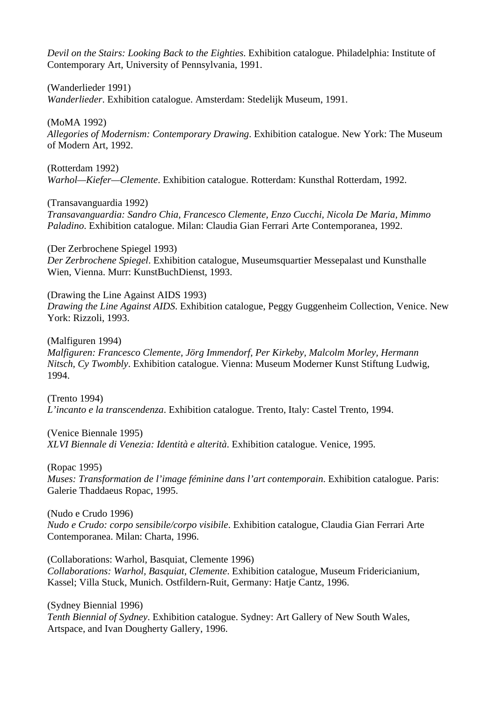*Devil on the Stairs: Looking Back to the Eighties*. Exhibition catalogue. Philadelphia: Institute of Contemporary Art, University of Pennsylvania, 1991.

(Wanderlieder 1991)

*Wanderlieder*. Exhibition catalogue. Amsterdam: Stedelijk Museum, 1991.

(MoMA 1992)

*Allegories of Modernism: Contemporary Drawing*. Exhibition catalogue. New York: The Museum of Modern Art, 1992.

(Rotterdam 1992) *Warhol—Kiefer—Clemente*. Exhibition catalogue. Rotterdam: Kunsthal Rotterdam, 1992.

(Transavanguardia 1992)

*Transavanguardia: Sandro Chia, Francesco Clemente, Enzo Cucchi, Nicola De Maria, Mimmo Paladino*. Exhibition catalogue. Milan: Claudia Gian Ferrari Arte Contemporanea, 1992.

(Der Zerbrochene Spiegel 1993) *Der Zerbrochene Spiegel*. Exhibition catalogue, Museumsquartier Messepalast und Kunsthalle Wien, Vienna. Murr: KunstBuchDienst, 1993.

(Drawing the Line Against AIDS 1993) *Drawing the Line Against AIDS*. Exhibition catalogue, Peggy Guggenheim Collection, Venice. New York: Rizzoli, 1993.

(Malfiguren 1994)

*Malfiguren: Francesco Clemente, Jörg Immendorf, Per Kirkeby, Malcolm Morley, Hermann Nitsch, Cy Twombly*. Exhibition catalogue. Vienna: Museum Moderner Kunst Stiftung Ludwig, 1994.

(Trento 1994) *L'incanto e la transcendenza*. Exhibition catalogue. Trento, Italy: Castel Trento, 1994.

(Venice Biennale 1995) *XLVI Biennale di Venezia: Identità e alterità*. Exhibition catalogue. Venice, 1995.

(Ropac 1995)

*Muses: Transformation de l'image féminine dans l'art contemporain*. Exhibition catalogue. Paris: Galerie Thaddaeus Ropac, 1995.

(Nudo e Crudo 1996) *Nudo e Crudo: corpo sensibile/corpo visibile*. Exhibition catalogue, Claudia Gian Ferrari Arte Contemporanea. Milan: Charta, 1996.

(Collaborations: Warhol, Basquiat, Clemente 1996) *Collaborations: Warhol, Basquiat, Clemente*. Exhibition catalogue, Museum Fridericianium, Kassel; Villa Stuck, Munich. Ostfildern-Ruit, Germany: Hatje Cantz, 1996.

(Sydney Biennial 1996) *Tenth Biennial of Sydney*. Exhibition catalogue. Sydney: Art Gallery of New South Wales, Artspace, and Ivan Dougherty Gallery, 1996.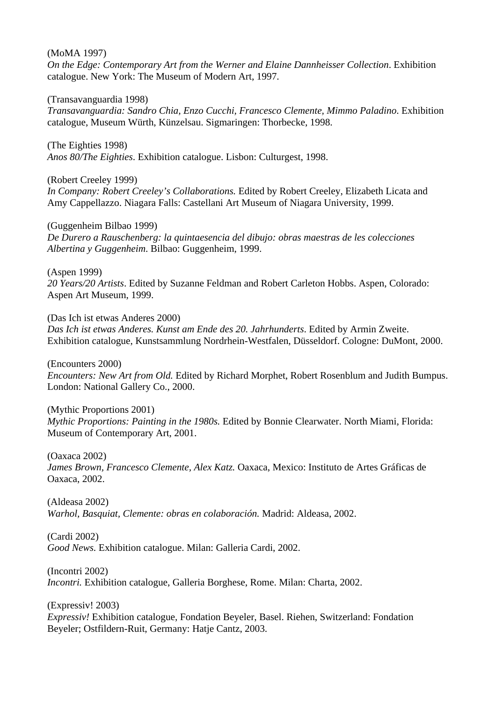#### (MoMA 1997)

*On the Edge: Contemporary Art from the Werner and Elaine Dannheisser Collection*. Exhibition catalogue. New York: The Museum of Modern Art, 1997.

# (Transavanguardia 1998)

*Transavanguardia: Sandro Chia, Enzo Cucchi, Francesco Clemente, Mimmo Paladino*. Exhibition catalogue, Museum Würth, Künzelsau. Sigmaringen: Thorbecke, 1998.

(The Eighties 1998) *Anos 80/The Eighties*. Exhibition catalogue. Lisbon: Culturgest, 1998.

(Robert Creeley 1999)

*In Company: Robert Creeley's Collaborations.* Edited by Robert Creeley, Elizabeth Licata and Amy Cappellazzo. Niagara Falls: Castellani Art Museum of Niagara University, 1999.

# (Guggenheim Bilbao 1999)

*De Durero a Rauschenberg: la quintaesencia del dibujo: obras maestras de les colecciones Albertina y Guggenheim*. Bilbao: Guggenheim, 1999.

# (Aspen 1999)

*20 Years/20 Artists*. Edited by Suzanne Feldman and Robert Carleton Hobbs. Aspen, Colorado: Aspen Art Museum, 1999.

(Das Ich ist etwas Anderes 2000) *Das Ich ist etwas Anderes. Kunst am Ende des 20. Jahrhunderts*. Edited by Armin Zweite. Exhibition catalogue, Kunstsammlung Nordrhein-Westfalen, Düsseldorf. Cologne: DuMont, 2000.

(Encounters 2000) *Encounters: New Art from Old.* Edited by Richard Morphet, Robert Rosenblum and Judith Bumpus. London: National Gallery Co., 2000.

(Mythic Proportions 2001) *Mythic Proportions: Painting in the 1980s.* Edited by Bonnie Clearwater. North Miami, Florida: Museum of Contemporary Art, 2001.

(Oaxaca 2002) *James Brown, Francesco Clemente, Alex Katz.* Oaxaca, Mexico: Instituto de Artes Gráficas de Oaxaca, 2002.

(Aldeasa 2002) *Warhol, Basquiat, Clemente: obras en colaboración.* Madrid: Aldeasa, 2002.

(Cardi 2002) *Good News.* Exhibition catalogue. Milan: Galleria Cardi, 2002.

(Incontri 2002) *Incontri.* Exhibition catalogue, Galleria Borghese, Rome. Milan: Charta, 2002.

(Expressiv! 2003) *Expressiv!* Exhibition catalogue, Fondation Beyeler, Basel. Riehen, Switzerland: Fondation Beyeler; Ostfildern-Ruit, Germany: Hatje Cantz, 2003.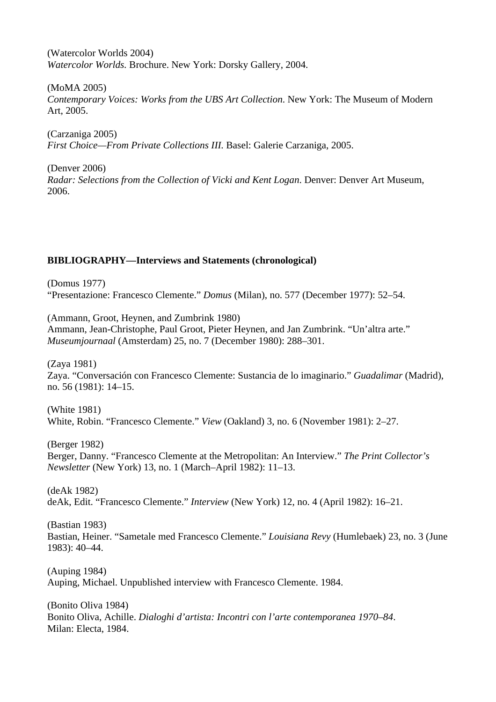(Watercolor Worlds 2004) *Watercolor Worlds.* Brochure. New York: Dorsky Gallery, 2004.

(MoMA 2005) *Contemporary Voices: Works from the UBS Art Collection*. New York: The Museum of Modern Art, 2005.

(Carzaniga 2005) *First Choice—From Private Collections III.* Basel: Galerie Carzaniga, 2005.

(Denver 2006) *Radar: Selections from the Collection of Vicki and Kent Logan*. Denver: Denver Art Museum, 2006.

# **BIBLIOGRAPHY—Interviews and Statements (chronological)**

(Domus 1977) "Presentazione: Francesco Clemente." *Domus* (Milan), no. 577 (December 1977): 52–54.

(Ammann, Groot, Heynen, and Zumbrink 1980) Ammann, Jean-Christophe, Paul Groot, Pieter Heynen, and Jan Zumbrink. "Un'altra arte." *Museumjournaal* (Amsterdam) 25, no. 7 (December 1980): 288–301.

(Zaya 1981) Zaya. "Conversación con Francesco Clemente: Sustancia de lo imaginario." *Guadalimar* (Madrid), no. 56 (1981): 14–15.

(White 1981) White, Robin. "Francesco Clemente." *View* (Oakland) 3, no. 6 (November 1981): 2–27.

(Berger 1982) Berger, Danny. "Francesco Clemente at the Metropolitan: An Interview." *The Print Collector's Newsletter* (New York) 13, no. 1 (March–April 1982): 11–13.

(deAk 1982) deAk, Edit. "Francesco Clemente." *Interview* (New York) 12, no. 4 (April 1982): 16–21.

(Bastian 1983) Bastian, Heiner. "Sametale med Francesco Clemente." *Louisiana Revy* (Humlebaek) 23, no. 3 (June 1983): 40–44.

(Auping 1984) Auping, Michael. Unpublished interview with Francesco Clemente. 1984.

(Bonito Oliva 1984) Bonito Oliva, Achille. *Dialoghi d'artista: Incontri con l'arte contemporanea 1970–84*. Milan: Electa, 1984.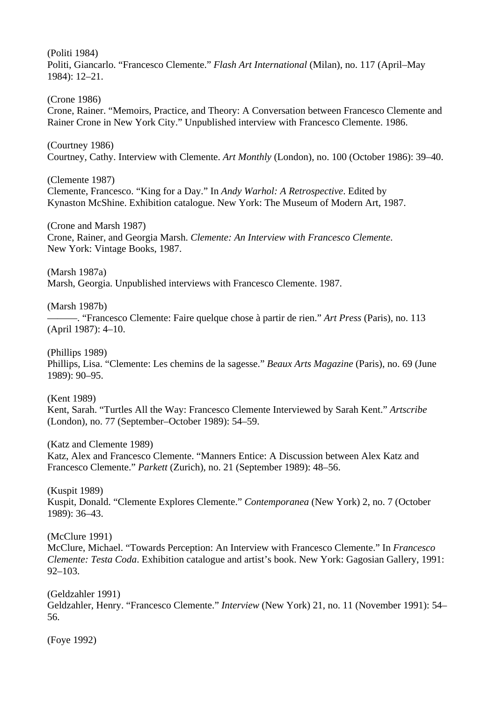Politi, Giancarlo. "Francesco Clemente." *Flash Art International* (Milan), no. 117 (April–May 1984): 12–21. (Crone 1986) Crone, Rainer. "Memoirs, Practice, and Theory: A Conversation between Francesco Clemente and Rainer Crone in New York City." Unpublished interview with Francesco Clemente. 1986. (Courtney 1986) Courtney, Cathy. Interview with Clemente. *Art Monthly* (London), no. 100 (October 1986): 39–40. (Clemente 1987) Clemente, Francesco. "King for a Day." In *Andy Warhol: A Retrospective*. Edited by Kynaston McShine. Exhibition catalogue. New York: The Museum of Modern Art, 1987. (Crone and Marsh 1987) Crone, Rainer, and Georgia Marsh. *Clemente: An Interview with Francesco Clemente*. New York: Vintage Books, 1987. (Marsh 1987a) Marsh, Georgia. Unpublished interviews with Francesco Clemente. 1987. (Marsh 1987b)

———. "Francesco Clemente: Faire quelque chose à partir de rien." *Art Press* (Paris), no. 113 (April 1987): 4–10.

(Phillips 1989)

(Politi 1984)

Phillips, Lisa. "Clemente: Les chemins de la sagesse." *Beaux Arts Magazine* (Paris), no. 69 (June 1989): 90–95.

(Kent 1989) Kent, Sarah. "Turtles All the Way: Francesco Clemente Interviewed by Sarah Kent." *Artscribe*  (London), no. 77 (September–October 1989): 54–59.

(Katz and Clemente 1989) Katz, Alex and Francesco Clemente. "Manners Entice: A Discussion between Alex Katz and Francesco Clemente." *Parkett* (Zurich), no. 21 (September 1989): 48–56.

(Kuspit 1989) Kuspit, Donald. "Clemente Explores Clemente." *Contemporanea* (New York) 2, no. 7 (October 1989): 36–43.

(McClure 1991)

McClure, Michael. "Towards Perception: An Interview with Francesco Clemente." In *Francesco Clemente: Testa Coda*. Exhibition catalogue and artist's book. New York: Gagosian Gallery, 1991: 92–103.

(Geldzahler 1991) Geldzahler, Henry. "Francesco Clemente." *Interview* (New York) 21, no. 11 (November 1991): 54– 56.

(Foye 1992)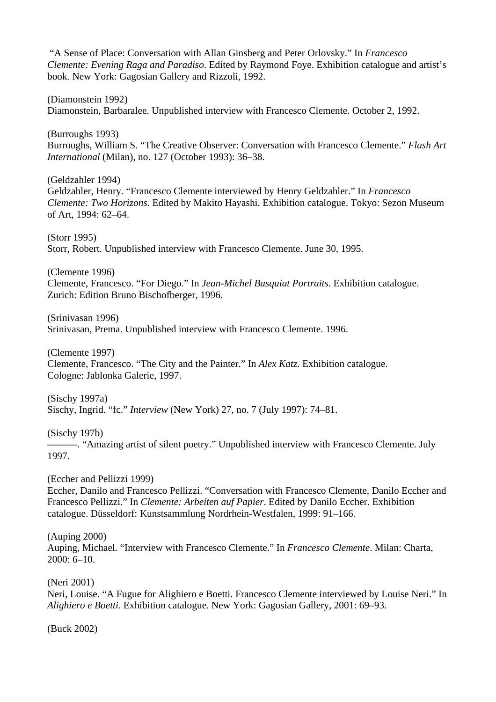"A Sense of Place: Conversation with Allan Ginsberg and Peter Orlovsky." In *Francesco Clemente: Evening Raga and Paradiso*. Edited by Raymond Foye. Exhibition catalogue and artist's book. New York: Gagosian Gallery and Rizzoli, 1992.

(Diamonstein 1992) Diamonstein, Barbaralee. Unpublished interview with Francesco Clemente. October 2, 1992.

(Burroughs 1993) Burroughs, William S. "The Creative Observer: Conversation with Francesco Clemente." *Flash Art International* (Milan), no. 127 (October 1993): 36–38.

(Geldzahler 1994) Geldzahler, Henry. "Francesco Clemente interviewed by Henry Geldzahler." In *Francesco Clemente: Two Horizons*. Edited by Makito Hayashi. Exhibition catalogue. Tokyo: Sezon Museum of Art, 1994: 62–64.

(Storr 1995) Storr, Robert. Unpublished interview with Francesco Clemente. June 30, 1995.

(Clemente 1996) Clemente, Francesco. "For Diego." In *Jean-Michel Basquiat Portraits*. Exhibition catalogue. Zurich: Edition Bruno Bischofberger, 1996.

(Srinivasan 1996) Srinivasan, Prema. Unpublished interview with Francesco Clemente. 1996.

(Clemente 1997) Clemente, Francesco. "The City and the Painter." In *Alex Katz*. Exhibition catalogue. Cologne: Jablonka Galerie, 1997.

(Sischy 1997a) Sischy, Ingrid. "fc." *Interview* (New York) 27, no. 7 (July 1997): 74–81.

(Sischy 197b)

———. "Amazing artist of silent poetry." Unpublished interview with Francesco Clemente. July 1997.

(Eccher and Pellizzi 1999)

Eccher, Danilo and Francesco Pellizzi. "Conversation with Francesco Clemente, Danilo Eccher and Francesco Pellizzi." In *Clemente: Arbeiten auf Papier*. Edited by Danilo Eccher. Exhibition catalogue. Düsseldorf: Kunstsammlung Nordrhein-Westfalen, 1999: 91–166.

(Auping 2000)

Auping, Michael. "Interview with Francesco Clemente." In *Francesco Clemente*. Milan: Charta,  $2000: 6-10.$ 

(Neri 2001)

Neri, Louise. "A Fugue for Alighiero e Boetti. Francesco Clemente interviewed by Louise Neri." In *Alighiero e Boetti*. Exhibition catalogue. New York: Gagosian Gallery, 2001: 69–93.

(Buck 2002)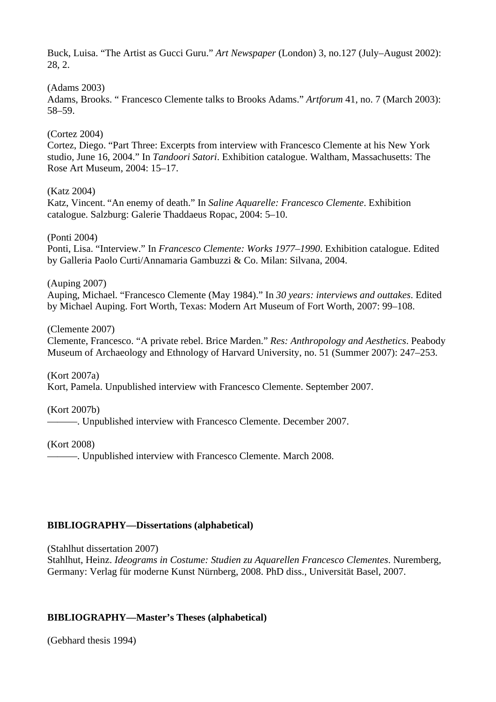Buck, Luisa. "The Artist as Gucci Guru." *Art Newspaper* (London) 3, no.127 (July–August 2002): 28, 2.

# (Adams 2003)

Adams, Brooks. " Francesco Clemente talks to Brooks Adams." *Artforum* 41, no. 7 (March 2003): 58–59.

#### (Cortez 2004)

Cortez, Diego. "Part Three: Excerpts from interview with Francesco Clemente at his New York studio, June 16, 2004." In *Tandoori Satori*. Exhibition catalogue. Waltham, Massachusetts: The Rose Art Museum, 2004: 15–17.

# (Katz 2004)

Katz, Vincent. "An enemy of death." In *Saline Aquarelle: Francesco Clemente*. Exhibition catalogue. Salzburg: Galerie Thaddaeus Ropac, 2004: 5–10.

#### (Ponti 2004)

Ponti, Lisa. "Interview." In *Francesco Clemente: Works 1977–1990*. Exhibition catalogue. Edited by Galleria Paolo Curti/Annamaria Gambuzzi & Co. Milan: Silvana, 2004.

(Auping 2007)

Auping, Michael. "Francesco Clemente (May 1984)." In *30 years: interviews and outtakes*. Edited by Michael Auping. Fort Worth, Texas: Modern Art Museum of Fort Worth, 2007: 99–108.

# (Clemente 2007)

Clemente, Francesco. "A private rebel. Brice Marden." *Res: Anthropology and Aesthetics*. Peabody Museum of Archaeology and Ethnology of Harvard University, no. 51 (Summer 2007): 247–253.

#### (Kort 2007a)

Kort, Pamela. Unpublished interview with Francesco Clemente. September 2007.

# (Kort 2007b)

———. Unpublished interview with Francesco Clemente. December 2007.

(Kort 2008)

———. Unpublished interview with Francesco Clemente. March 2008.

# **BIBLIOGRAPHY—Dissertations (alphabetical)**

(Stahlhut dissertation 2007)

Stahlhut, Heinz. *Ideograms in Costume: Studien zu Aquarellen Francesco Clementes*. Nuremberg, Germany: Verlag für moderne Kunst Nürnberg, 2008. PhD diss., Universität Basel, 2007.

# **BIBLIOGRAPHY—Master's Theses (alphabetical)**

(Gebhard thesis 1994)